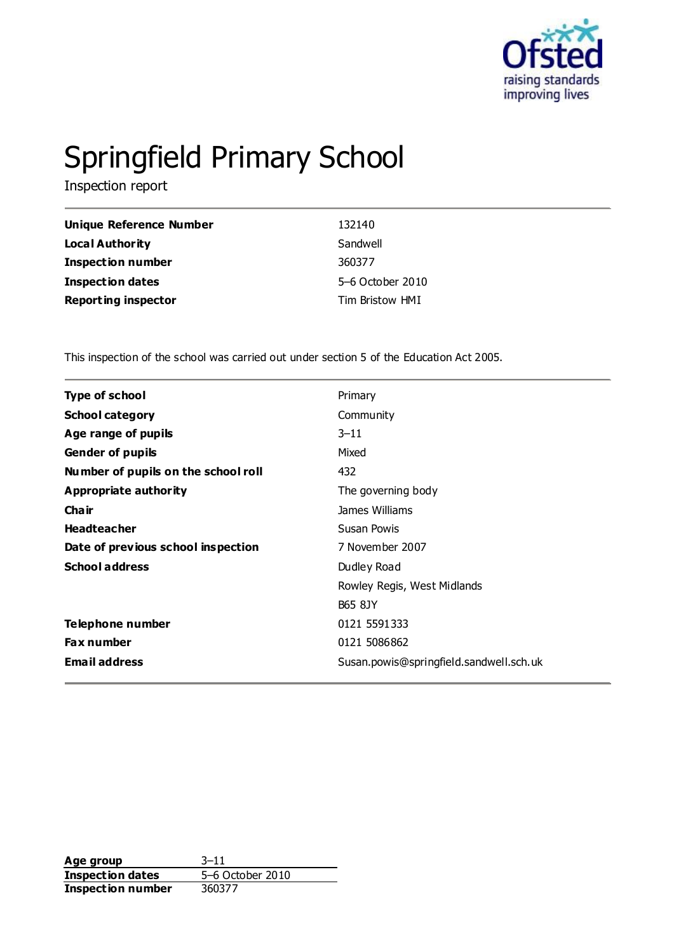

# Springfield Primary School

Inspection report

| Unique Reference Number    | 132140           |
|----------------------------|------------------|
| <b>Local Authority</b>     | Sandwell         |
| <b>Inspection number</b>   | 360377           |
| <b>Inspection dates</b>    | 5-6 October 2010 |
| <b>Reporting inspector</b> | Tim Bristow HMI  |

This inspection of the school was carried out under section 5 of the Education Act 2005.

| <b>Type of school</b>               | Primary                                 |
|-------------------------------------|-----------------------------------------|
| <b>School category</b>              | Community                               |
| Age range of pupils                 | $3 - 11$                                |
| <b>Gender of pupils</b>             | Mixed                                   |
| Number of pupils on the school roll | 432                                     |
| Appropriate authority               | The governing body                      |
| Cha ir                              | James Williams                          |
| <b>Headteacher</b>                  | Susan Powis                             |
| Date of previous school inspection  | 7 November 2007                         |
| <b>School address</b>               | Dudley Road                             |
|                                     | Rowley Regis, West Midlands             |
|                                     | <b>B65 8JY</b>                          |
| Telephone number                    | 0121 5591333                            |
| <b>Fax number</b>                   | 0121 5086862                            |
| <b>Email address</b>                | Susan.powis@springfield.sandwell.sch.uk |
|                                     |                                         |

**Age group** 3–11<br> **Inspection dates** 5–6 October 2010 **Inspection dates Inspection number** 360377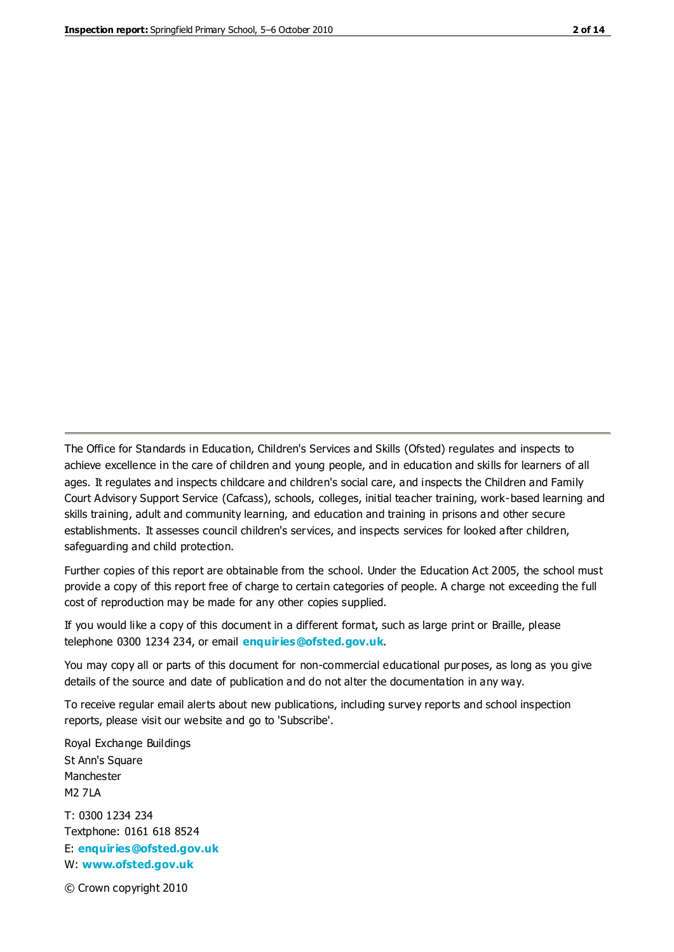The Office for Standards in Education, Children's Services and Skills (Ofsted) regulates and inspects to achieve excellence in the care of children and young people, and in education and skills for learners of all ages. It regulates and inspects childcare and children's social care, and inspects the Children and Family Court Advisory Support Service (Cafcass), schools, colleges, initial teacher training, work-based learning and skills training, adult and community learning, and education and training in prisons and other secure establishments. It assesses council children's services, and inspects services for looked after children, safeguarding and child protection.

Further copies of this report are obtainable from the school. Under the Education Act 2005, the school must provide a copy of this report free of charge to certain categories of people. A charge not exceeding the full cost of reproduction may be made for any other copies supplied.

If you would like a copy of this document in a different format, such as large print or Braille, please telephone 0300 1234 234, or email **[enquiries@ofsted.gov.uk](mailto:enquiries@ofsted.gov.uk)**.

You may copy all or parts of this document for non-commercial educational purposes, as long as you give details of the source and date of publication and do not alter the documentation in any way.

To receive regular email alerts about new publications, including survey reports and school inspection reports, please visit our website and go to 'Subscribe'.

Royal Exchange Buildings St Ann's Square Manchester M2 7LA T: 0300 1234 234 Textphone: 0161 618 8524 E: **[enquiries@ofsted.gov.uk](mailto:enquiries@ofsted.gov.uk)** W: **[www.ofsted.gov.uk](http://www.ofsted.gov.uk/)**

© Crown copyright 2010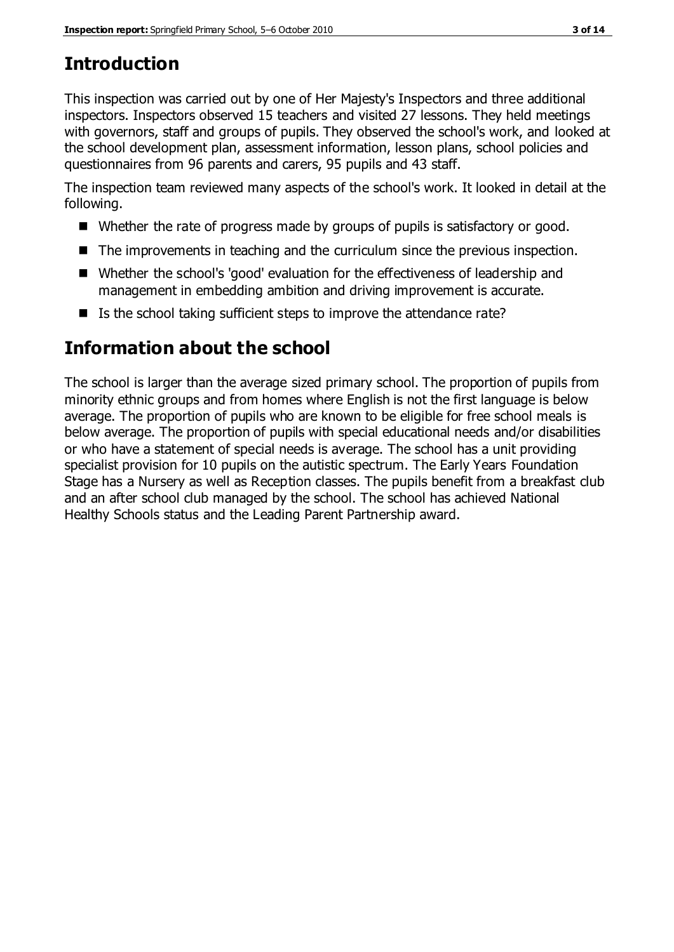# **Introduction**

This inspection was carried out by one of Her Majesty's Inspectors and three additional inspectors. Inspectors observed 15 teachers and visited 27 lessons. They held meetings with governors, staff and groups of pupils. They observed the school's work, and looked at the school development plan, assessment information, lesson plans, school policies and questionnaires from 96 parents and carers, 95 pupils and 43 staff.

The inspection team reviewed many aspects of the school's work. It looked in detail at the following.

- Whether the rate of progress made by groups of pupils is satisfactory or good.
- The improvements in teaching and the curriculum since the previous inspection.
- Whether the school's 'good' evaluation for the effectiveness of leadership and management in embedding ambition and driving improvement is accurate.
- $\blacksquare$  Is the school taking sufficient steps to improve the attendance rate?

# **Information about the school**

The school is larger than the average sized primary school. The proportion of pupils from minority ethnic groups and from homes where English is not the first language is below average. The proportion of pupils who are known to be eligible for free school meals is below average. The proportion of pupils with special educational needs and/or disabilities or who have a statement of special needs is average. The school has a unit providing specialist provision for 10 pupils on the autistic spectrum. The Early Years Foundation Stage has a Nursery as well as Reception classes. The pupils benefit from a breakfast club and an after school club managed by the school. The school has achieved National Healthy Schools status and the Leading Parent Partnership award.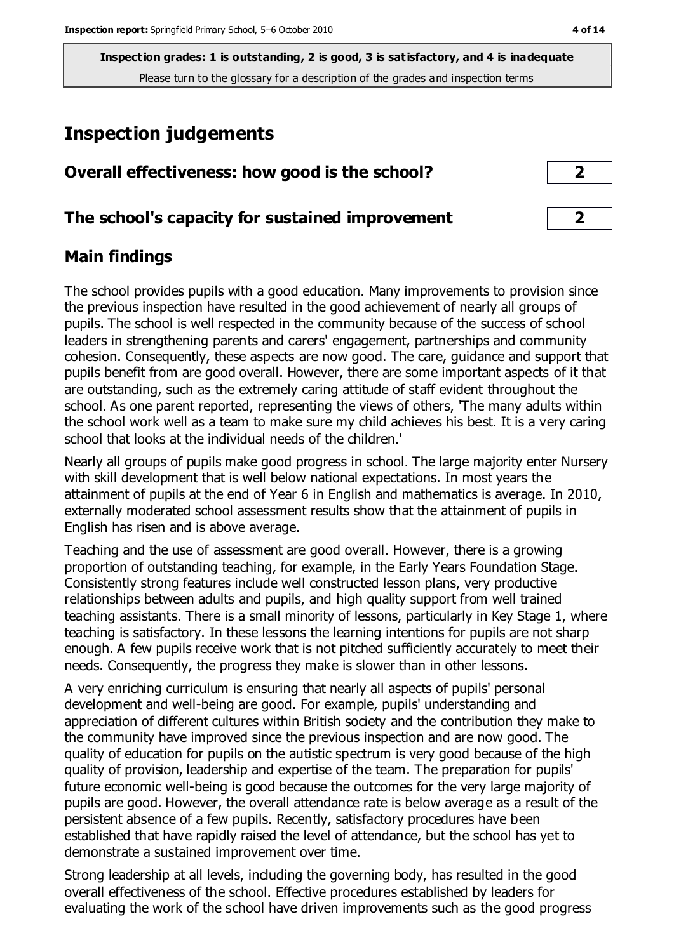# **Inspection judgements**

| Overall effectiveness: how good is the school?  |  |
|-------------------------------------------------|--|
| The school's capacity for sustained improvement |  |

## **Main findings**

The school provides pupils with a good education. Many improvements to provision since the previous inspection have resulted in the good achievement of nearly all groups of pupils. The school is well respected in the community because of the success of school leaders in strengthening parents and carers' engagement, partnerships and community cohesion. Consequently, these aspects are now good. The care, guidance and support that pupils benefit from are good overall. However, there are some important aspects of it that are outstanding, such as the extremely caring attitude of staff evident throughout the school. As one parent reported, representing the views of others, 'The many adults within the school work well as a team to make sure my child achieves his best. It is a very caring school that looks at the individual needs of the children.'

Nearly all groups of pupils make good progress in school. The large majority enter Nursery with skill development that is well below national expectations. In most years the attainment of pupils at the end of Year 6 in English and mathematics is average. In 2010, externally moderated school assessment results show that the attainment of pupils in English has risen and is above average.

Teaching and the use of assessment are good overall. However, there is a growing proportion of outstanding teaching, for example, in the Early Years Foundation Stage. Consistently strong features include well constructed lesson plans, very productive relationships between adults and pupils, and high quality support from well trained teaching assistants. There is a small minority of lessons, particularly in Key Stage 1, where teaching is satisfactory. In these lessons the learning intentions for pupils are not sharp enough. A few pupils receive work that is not pitched sufficiently accurately to meet their needs. Consequently, the progress they make is slower than in other lessons.

A very enriching curriculum is ensuring that nearly all aspects of pupils' personal development and well-being are good. For example, pupils' understanding and appreciation of different cultures within British society and the contribution they make to the community have improved since the previous inspection and are now good. The quality of education for pupils on the autistic spectrum is very good because of the high quality of provision, leadership and expertise of the team. The preparation for pupils' future economic well-being is good because the outcomes for the very large majority of pupils are good. However, the overall attendance rate is below average as a result of the persistent absence of a few pupils. Recently, satisfactory procedures have been established that have rapidly raised the level of attendance, but the school has yet to demonstrate a sustained improvement over time.

Strong leadership at all levels, including the governing body, has resulted in the good overall effectiveness of the school. Effective procedures established by leaders for evaluating the work of the school have driven improvements such as the good progress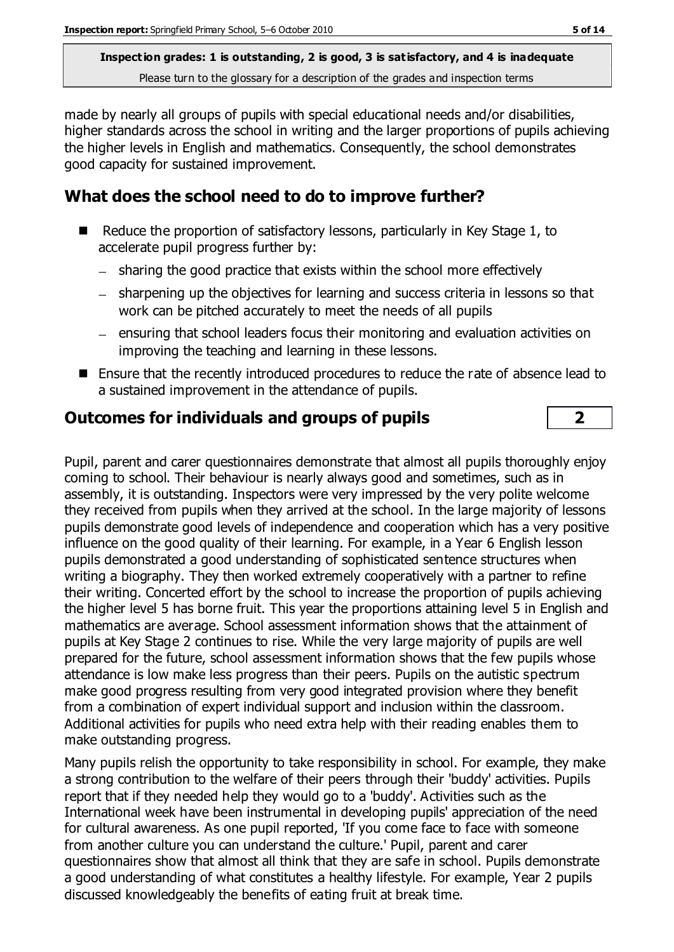made by nearly all groups of pupils with special educational needs and/or disabilities, higher standards across the school in writing and the larger proportions of pupils achieving the higher levels in English and mathematics. Consequently, the school demonstrates good capacity for sustained improvement.

## **What does the school need to do to improve further?**

- Reduce the proportion of satisfactory lessons, particularly in Key Stage 1, to accelerate pupil progress further by:
	- sharing the good practice that exists within the school more effectively
	- sharpening up the objectives for learning and success criteria in lessons so that work can be pitched accurately to meet the needs of all pupils
	- $-$  ensuring that school leaders focus their monitoring and evaluation activities on improving the teaching and learning in these lessons.
- Ensure that the recently introduced procedures to reduce the rate of absence lead to a sustained improvement in the attendance of pupils.

## **Outcomes for individuals and groups of pupils 2**

Pupil, parent and carer questionnaires demonstrate that almost all pupils thoroughly enjoy coming to school. Their behaviour is nearly always good and sometimes, such as in assembly, it is outstanding. Inspectors were very impressed by the very polite welcome they received from pupils when they arrived at the school. In the large majority of lessons pupils demonstrate good levels of independence and cooperation which has a very positive influence on the good quality of their learning. For example, in a Year 6 English lesson pupils demonstrated a good understanding of sophisticated sentence structures when writing a biography. They then worked extremely cooperatively with a partner to refine their writing. Concerted effort by the school to increase the proportion of pupils achieving the higher level 5 has borne fruit. This year the proportions attaining level 5 in English and mathematics are average. School assessment information shows that the attainment of pupils at Key Stage 2 continues to rise. While the very large majority of pupils are well prepared for the future, school assessment information shows that the few pupils whose attendance is low make less progress than their peers. Pupils on the autistic spectrum make good progress resulting from very good integrated provision where they benefit from a combination of expert individual support and inclusion within the classroom. Additional activities for pupils who need extra help with their reading enables them to make outstanding progress.

Many pupils relish the opportunity to take responsibility in school. For example, they make a strong contribution to the welfare of their peers through their 'buddy' activities. Pupils report that if they needed help they would go to a 'buddy'. Activities such as the International week have been instrumental in developing pupils' appreciation of the need for cultural awareness. As one pupil reported, 'If you come face to face with someone from another culture you can understand the culture.' Pupil, parent and carer questionnaires show that almost all think that they are safe in school. Pupils demonstrate a good understanding of what constitutes a healthy lifestyle. For example, Year 2 pupils discussed knowledgeably the benefits of eating fruit at break time.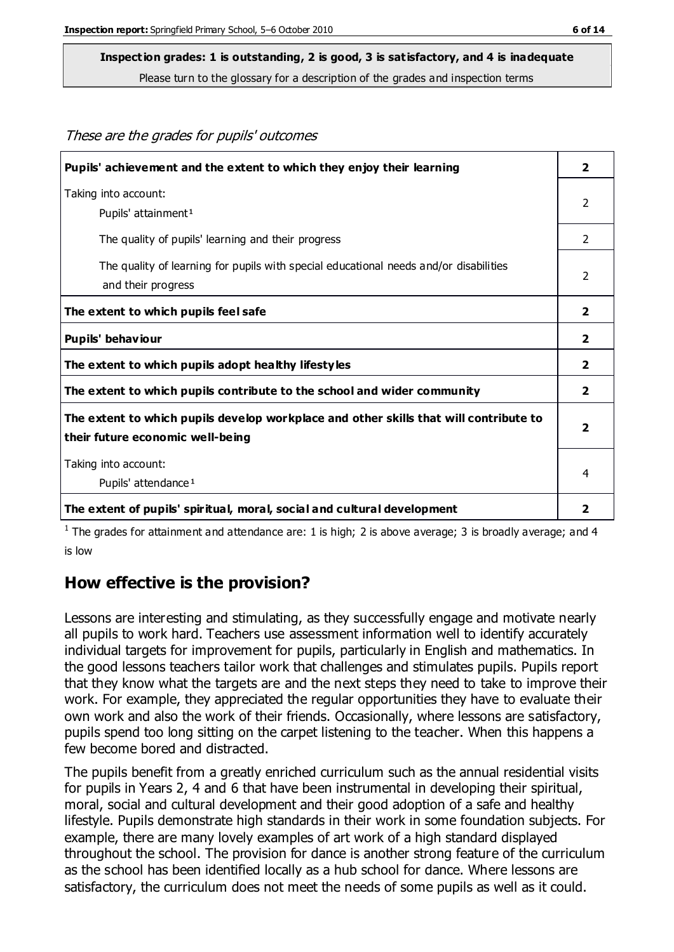These are the grades for pupils' outcomes

## **Inspection grades: 1 is outstanding, 2 is good, 3 is satisfactory, and 4 is inadequate**

Please turn to the glossary for a description of the grades and inspection terms

| Pupils' achievement and the extent to which they enjoy their learning                                                     | $\overline{\mathbf{2}}$ |
|---------------------------------------------------------------------------------------------------------------------------|-------------------------|
| Taking into account:<br>Pupils' attainment <sup>1</sup>                                                                   | 2                       |
| The quality of pupils' learning and their progress                                                                        | 2                       |
| The quality of learning for pupils with special educational needs and/or disabilities<br>and their progress               | 2                       |
| The extent to which pupils feel safe                                                                                      | $\overline{\mathbf{2}}$ |
| Pupils' behaviour                                                                                                         | $\overline{2}$          |
| The extent to which pupils adopt healthy lifestyles                                                                       | 2                       |
| The extent to which pupils contribute to the school and wider community                                                   | 2                       |
| The extent to which pupils develop workplace and other skills that will contribute to<br>their future economic well-being | $\overline{2}$          |
| Taking into account:<br>Pupils' attendance <sup>1</sup>                                                                   | 4                       |
| The extent of pupils' spiritual, moral, social and cultural development                                                   | 2                       |

<sup>1</sup> The grades for attainment and attendance are: 1 is high; 2 is above average; 3 is broadly average; and 4 is low

#### **How effective is the provision?**

Lessons are interesting and stimulating, as they successfully engage and motivate nearly all pupils to work hard. Teachers use assessment information well to identify accurately individual targets for improvement for pupils, particularly in English and mathematics. In the good lessons teachers tailor work that challenges and stimulates pupils. Pupils report that they know what the targets are and the next steps they need to take to improve their work. For example, they appreciated the regular opportunities they have to evaluate their own work and also the work of their friends. Occasionally, where lessons are satisfactory, pupils spend too long sitting on the carpet listening to the teacher. When this happens a few become bored and distracted.

The pupils benefit from a greatly enriched curriculum such as the annual residential visits for pupils in Years 2, 4 and 6 that have been instrumental in developing their spiritual, moral, social and cultural development and their good adoption of a safe and healthy lifestyle. Pupils demonstrate high standards in their work in some foundation subjects. For example, there are many lovely examples of art work of a high standard displayed throughout the school. The provision for dance is another strong feature of the curriculum as the school has been identified locally as a hub school for dance. Where lessons are satisfactory, the curriculum does not meet the needs of some pupils as well as it could.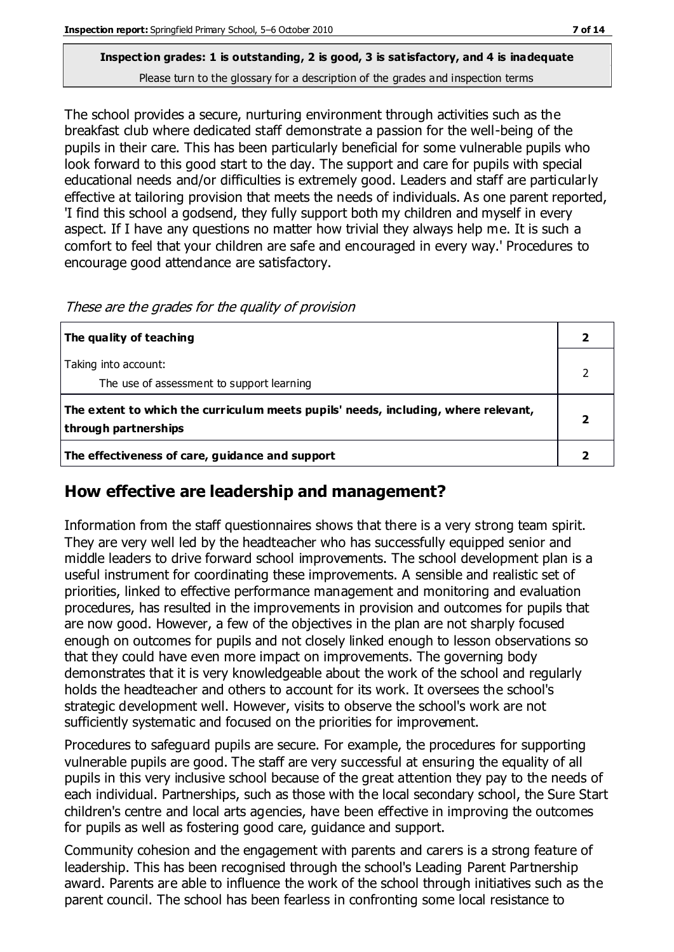The school provides a secure, nurturing environment through activities such as the breakfast club where dedicated staff demonstrate a passion for the well-being of the pupils in their care. This has been particularly beneficial for some vulnerable pupils who look forward to this good start to the day. The support and care for pupils with special educational needs and/or difficulties is extremely good. Leaders and staff are particularly effective at tailoring provision that meets the needs of individuals. As one parent reported, 'I find this school a godsend, they fully support both my children and myself in every aspect. If I have any questions no matter how trivial they always help me. It is such a comfort to feel that your children are safe and encouraged in every way.' Procedures to encourage good attendance are satisfactory.

| The quality of teaching                                                                                    |  |
|------------------------------------------------------------------------------------------------------------|--|
| Taking into account:<br>The use of assessment to support learning                                          |  |
| The extent to which the curriculum meets pupils' needs, including, where relevant,<br>through partnerships |  |
| The effectiveness of care, guidance and support                                                            |  |

#### These are the grades for the quality of provision

## **How effective are leadership and management?**

Information from the staff questionnaires shows that there is a very strong team spirit. They are very well led by the headteacher who has successfully equipped senior and middle leaders to drive forward school improvements. The school development plan is a useful instrument for coordinating these improvements. A sensible and realistic set of priorities, linked to effective performance management and monitoring and evaluation procedures, has resulted in the improvements in provision and outcomes for pupils that are now good. However, a few of the objectives in the plan are not sharply focused enough on outcomes for pupils and not closely linked enough to lesson observations so that they could have even more impact on improvements. The governing body demonstrates that it is very knowledgeable about the work of the school and regularly holds the headteacher and others to account for its work. It oversees the school's strategic development well. However, visits to observe the school's work are not sufficiently systematic and focused on the priorities for improvement.

Procedures to safeguard pupils are secure. For example, the procedures for supporting vulnerable pupils are good. The staff are very successful at ensuring the equality of all pupils in this very inclusive school because of the great attention they pay to the needs of each individual. Partnerships, such as those with the local secondary school, the Sure Start children's centre and local arts agencies, have been effective in improving the outcomes for pupils as well as fostering good care, guidance and support.

Community cohesion and the engagement with parents and carers is a strong feature of leadership. This has been recognised through the school's Leading Parent Partnership award. Parents are able to influence the work of the school through initiatives such as the parent council. The school has been fearless in confronting some local resistance to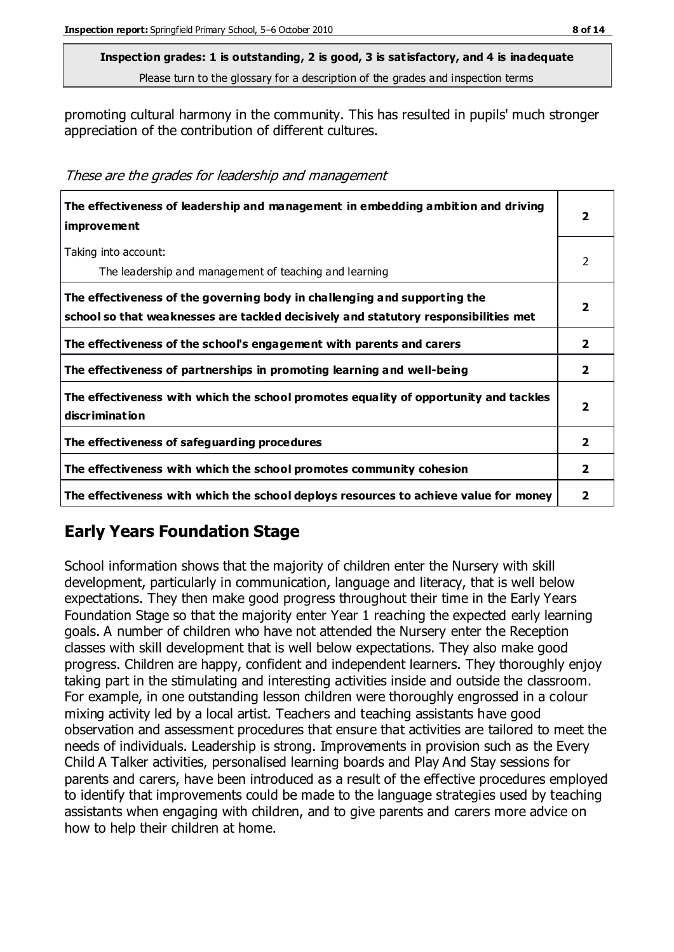promoting cultural harmony in the community. This has resulted in pupils' much stronger appreciation of the contribution of different cultures.

These are the grades for leadership and management

| The effectiveness of leadership and management in embedding ambition and driving<br><i>improvement</i>                                                           | 2                        |
|------------------------------------------------------------------------------------------------------------------------------------------------------------------|--------------------------|
| Taking into account:<br>The leadership and management of teaching and learning                                                                                   | 2                        |
| The effectiveness of the governing body in challenging and supporting the<br>school so that weaknesses are tackled decisively and statutory responsibilities met | 2                        |
| The effectiveness of the school's engagement with parents and carers                                                                                             | $\overline{2}$           |
| The effectiveness of partnerships in promoting learning and well-being                                                                                           | $\overline{2}$           |
| The effectiveness with which the school promotes equality of opportunity and tackles<br>discrimination                                                           | $\overline{\phantom{a}}$ |
| The effectiveness of safeguarding procedures                                                                                                                     | $\overline{2}$           |
| The effectiveness with which the school promotes community cohesion                                                                                              | $\overline{2}$           |
| The effectiveness with which the school deploys resources to achieve value for money                                                                             | 2                        |

## **Early Years Foundation Stage**

School information shows that the majority of children enter the Nursery with skill development, particularly in communication, language and literacy, that is well below expectations. They then make good progress throughout their time in the Early Years Foundation Stage so that the majority enter Year 1 reaching the expected early learning goals. A number of children who have not attended the Nursery enter the Reception classes with skill development that is well below expectations. They also make good progress. Children are happy, confident and independent learners. They thoroughly enjoy taking part in the stimulating and interesting activities inside and outside the classroom. For example, in one outstanding lesson children were thoroughly engrossed in a colour mixing activity led by a local artist. Teachers and teaching assistants have good observation and assessment procedures that ensure that activities are tailored to meet the needs of individuals. Leadership is strong. Improvements in provision such as the Every Child A Talker activities, personalised learning boards and Play And Stay sessions for parents and carers, have been introduced as a result of the effective procedures employed to identify that improvements could be made to the language strategies used by teaching assistants when engaging with children, and to give parents and carers more advice on how to help their children at home.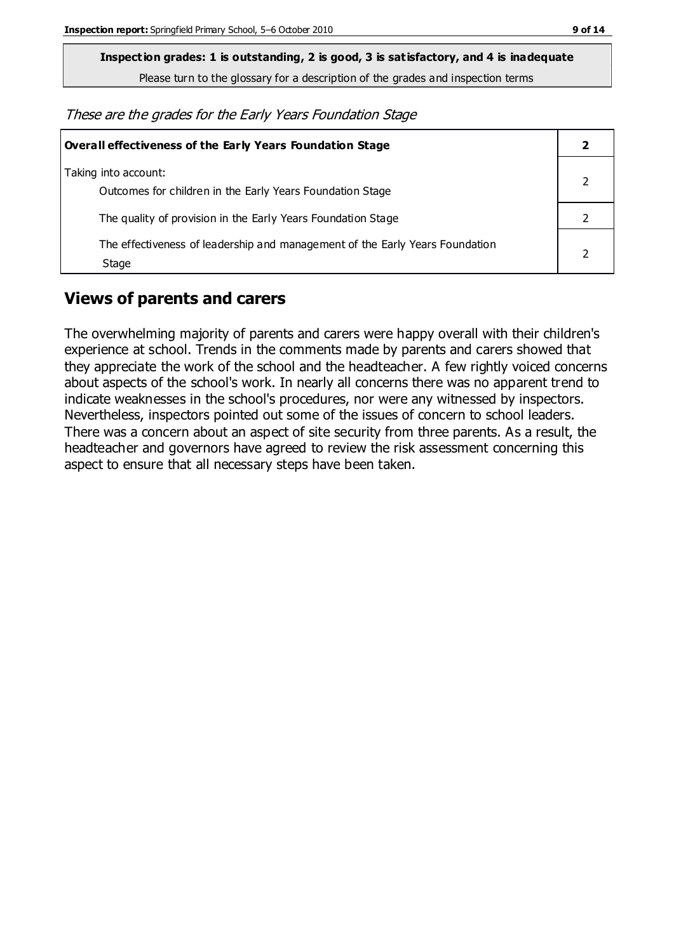**Inspection grades: 1 is outstanding, 2 is good, 3 is satisfactory, and 4 is inadequate**

Please turn to the glossary for a description of the grades and inspection terms

These are the grades for the Early Years Foundation Stage

| Overall effectiveness of the Early Years Foundation Stage                             |  |
|---------------------------------------------------------------------------------------|--|
| Taking into account:<br>Outcomes for children in the Early Years Foundation Stage     |  |
| The quality of provision in the Early Years Foundation Stage                          |  |
| The effectiveness of leadership and management of the Early Years Foundation<br>Stage |  |

#### **Views of parents and carers**

The overwhelming majority of parents and carers were happy overall with their children's experience at school. Trends in the comments made by parents and carers showed that they appreciate the work of the school and the headteacher. A few rightly voiced concerns about aspects of the school's work. In nearly all concerns there was no apparent trend to indicate weaknesses in the school's procedures, nor were any witnessed by inspectors. Nevertheless, inspectors pointed out some of the issues of concern to school leaders. There was a concern about an aspect of site security from three parents. As a result, the headteacher and governors have agreed to review the risk assessment concerning this aspect to ensure that all necessary steps have been taken.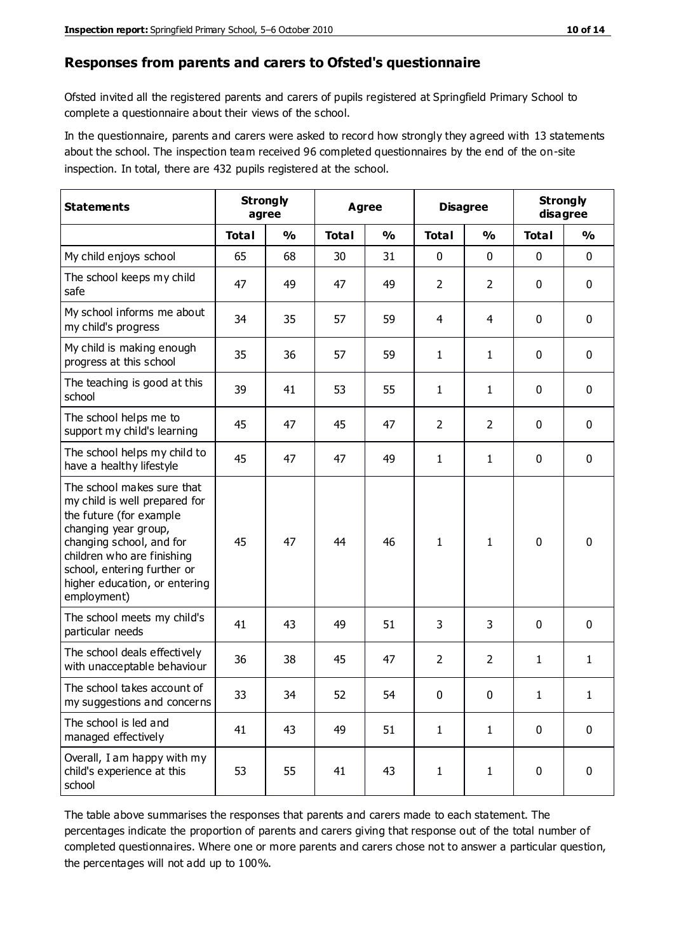#### **Responses from parents and carers to Ofsted's questionnaire**

Ofsted invited all the registered parents and carers of pupils registered at Springfield Primary School to complete a questionnaire about their views of the school.

In the questionnaire, parents and carers were asked to record how strongly they agreed with 13 statements about the school. The inspection team received 96 completed questionnaires by the end of the on-site inspection. In total, there are 432 pupils registered at the school.

| <b>Statements</b>                                                                                                                                                                                                                                       | <b>Strongly</b><br>agree |               | <b>Agree</b> |               | <b>Disagree</b> |                | <b>Strongly</b><br>disagree |               |
|---------------------------------------------------------------------------------------------------------------------------------------------------------------------------------------------------------------------------------------------------------|--------------------------|---------------|--------------|---------------|-----------------|----------------|-----------------------------|---------------|
|                                                                                                                                                                                                                                                         | <b>Total</b>             | $\frac{0}{0}$ | <b>Total</b> | $\frac{0}{0}$ | <b>Total</b>    | $\frac{0}{0}$  | <b>Total</b>                | $\frac{0}{0}$ |
| My child enjoys school                                                                                                                                                                                                                                  | 65                       | 68            | 30           | 31            | 0               | $\mathbf 0$    | 0                           | $\mathbf 0$   |
| The school keeps my child<br>safe                                                                                                                                                                                                                       | 47                       | 49            | 47           | 49            | $\overline{2}$  | $\overline{2}$ | 0                           | $\pmb{0}$     |
| My school informs me about<br>my child's progress                                                                                                                                                                                                       | 34                       | 35            | 57           | 59            | 4               | 4              | $\mathbf 0$                 | $\mathbf 0$   |
| My child is making enough<br>progress at this school                                                                                                                                                                                                    | 35                       | 36            | 57           | 59            | $\mathbf{1}$    | 1              | 0                           | $\mathbf 0$   |
| The teaching is good at this<br>school                                                                                                                                                                                                                  | 39                       | 41            | 53           | 55            | $\mathbf{1}$    | $\mathbf{1}$   | 0                           | 0             |
| The school helps me to<br>support my child's learning                                                                                                                                                                                                   | 45                       | 47            | 45           | 47            | $\overline{2}$  | $\overline{2}$ | 0                           | $\mathbf 0$   |
| The school helps my child to<br>have a healthy lifestyle                                                                                                                                                                                                | 45                       | 47            | 47           | 49            | $\mathbf{1}$    | $\mathbf{1}$   | 0                           | 0             |
| The school makes sure that<br>my child is well prepared for<br>the future (for example<br>changing year group,<br>changing school, and for<br>children who are finishing<br>school, entering further or<br>higher education, or entering<br>employment) | 45                       | 47            | 44           | 46            | $\mathbf{1}$    | 1              | $\mathbf 0$                 | $\mathbf 0$   |
| The school meets my child's<br>particular needs                                                                                                                                                                                                         | 41                       | 43            | 49           | 51            | 3               | 3              | $\mathbf 0$                 | $\mathbf 0$   |
| The school deals effectively<br>with unacceptable behaviour                                                                                                                                                                                             | 36                       | 38            | 45           | 47            | $\overline{2}$  | $\overline{2}$ | 1                           | $\mathbf{1}$  |
| The school takes account of<br>my suggestions and concerns                                                                                                                                                                                              | 33                       | 34            | 52           | 54            | 0               | $\mathbf 0$    | 1                           | 1             |
| The school is led and<br>managed effectively                                                                                                                                                                                                            | 41                       | 43            | 49           | 51            | $\mathbf{1}$    | $\mathbf{1}$   | $\mathbf 0$                 | $\mathbf 0$   |
| Overall, I am happy with my<br>child's experience at this<br>school                                                                                                                                                                                     | 53                       | 55            | 41           | 43            | $\mathbf{1}$    | $\mathbf{1}$   | $\mathbf 0$                 | $\pmb{0}$     |

The table above summarises the responses that parents and carers made to each statement. The percentages indicate the proportion of parents and carers giving that response out of the total number of completed questionnaires. Where one or more parents and carers chose not to answer a particular question, the percentages will not add up to 100%.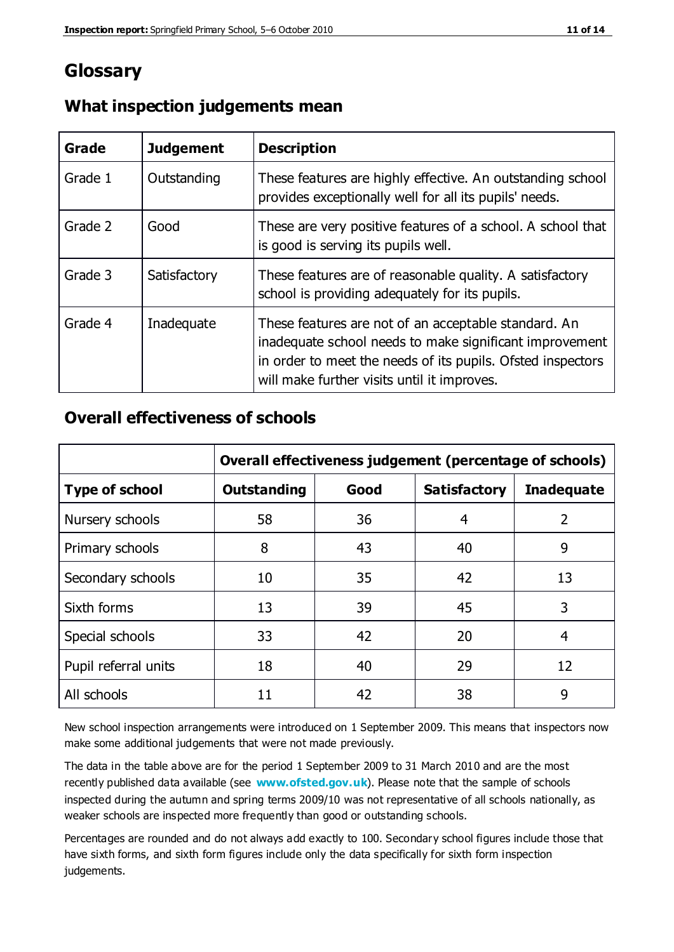## **Glossary**

| Grade   | <b>Judgement</b> | <b>Description</b>                                                                                                                                                                                                            |
|---------|------------------|-------------------------------------------------------------------------------------------------------------------------------------------------------------------------------------------------------------------------------|
| Grade 1 | Outstanding      | These features are highly effective. An outstanding school<br>provides exceptionally well for all its pupils' needs.                                                                                                          |
| Grade 2 | Good             | These are very positive features of a school. A school that<br>is good is serving its pupils well.                                                                                                                            |
| Grade 3 | Satisfactory     | These features are of reasonable quality. A satisfactory<br>school is providing adequately for its pupils.                                                                                                                    |
| Grade 4 | Inadequate       | These features are not of an acceptable standard. An<br>inadequate school needs to make significant improvement<br>in order to meet the needs of its pupils. Ofsted inspectors<br>will make further visits until it improves. |

#### **What inspection judgements mean**

#### **Overall effectiveness of schools**

|                       | Overall effectiveness judgement (percentage of schools) |      |                     |                   |
|-----------------------|---------------------------------------------------------|------|---------------------|-------------------|
| <b>Type of school</b> | <b>Outstanding</b>                                      | Good | <b>Satisfactory</b> | <b>Inadequate</b> |
| Nursery schools       | 58                                                      | 36   | 4                   | 2                 |
| Primary schools       | 8                                                       | 43   | 40                  | 9                 |
| Secondary schools     | 10                                                      | 35   | 42                  | 13                |
| Sixth forms           | 13                                                      | 39   | 45                  | 3                 |
| Special schools       | 33                                                      | 42   | 20                  | 4                 |
| Pupil referral units  | 18                                                      | 40   | 29                  | 12                |
| All schools           | 11                                                      | 42   | 38                  | 9                 |

New school inspection arrangements were introduced on 1 September 2009. This means that inspectors now make some additional judgements that were not made previously.

The data in the table above are for the period 1 September 2009 to 31 March 2010 and are the most recently published data available (see **[www.ofsted.gov.uk](http://www.ofsted.gov.uk/)**). Please note that the sample of schools inspected during the autumn and spring terms 2009/10 was not representative of all schools nationally, as weaker schools are inspected more frequently than good or outstanding schools.

Percentages are rounded and do not always add exactly to 100. Secondary school figures include those that have sixth forms, and sixth form figures include only the data specifically for sixth form inspection judgements.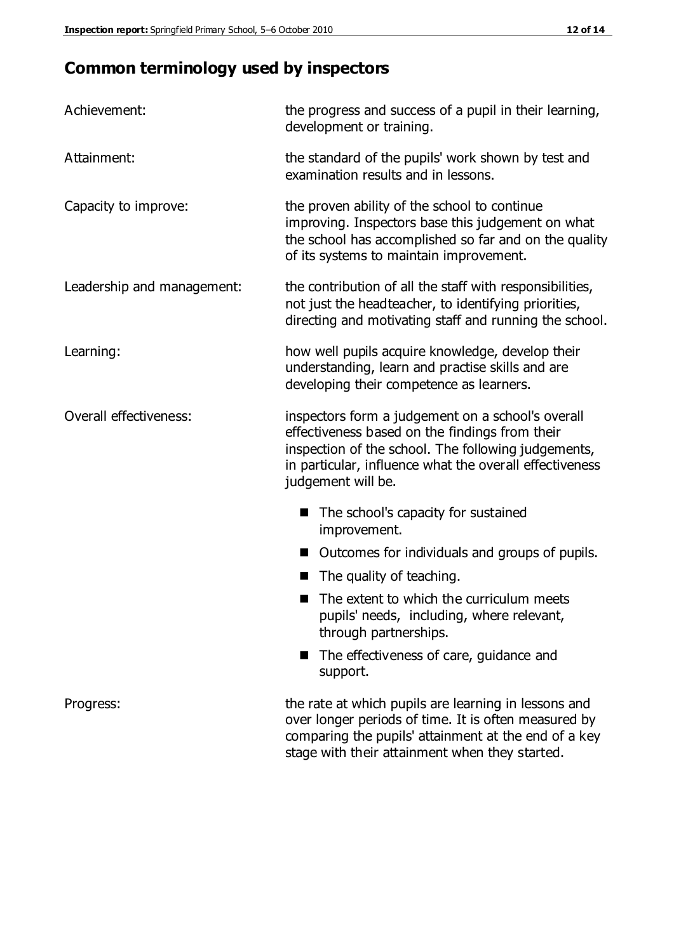# **Common terminology used by inspectors**

| Achievement:                  | the progress and success of a pupil in their learning,<br>development or training.                                                                                                                                                          |  |  |
|-------------------------------|---------------------------------------------------------------------------------------------------------------------------------------------------------------------------------------------------------------------------------------------|--|--|
| Attainment:                   | the standard of the pupils' work shown by test and<br>examination results and in lessons.                                                                                                                                                   |  |  |
| Capacity to improve:          | the proven ability of the school to continue<br>improving. Inspectors base this judgement on what<br>the school has accomplished so far and on the quality<br>of its systems to maintain improvement.                                       |  |  |
| Leadership and management:    | the contribution of all the staff with responsibilities,<br>not just the headteacher, to identifying priorities,<br>directing and motivating staff and running the school.                                                                  |  |  |
| Learning:                     | how well pupils acquire knowledge, develop their<br>understanding, learn and practise skills and are<br>developing their competence as learners.                                                                                            |  |  |
| <b>Overall effectiveness:</b> | inspectors form a judgement on a school's overall<br>effectiveness based on the findings from their<br>inspection of the school. The following judgements,<br>in particular, influence what the overall effectiveness<br>judgement will be. |  |  |
|                               | The school's capacity for sustained<br>improvement.                                                                                                                                                                                         |  |  |
|                               | Outcomes for individuals and groups of pupils.                                                                                                                                                                                              |  |  |
|                               | The quality of teaching.                                                                                                                                                                                                                    |  |  |
|                               | The extent to which the curriculum meets<br>pupils' needs, including, where relevant,<br>through partnerships.                                                                                                                              |  |  |
|                               | The effectiveness of care, guidance and<br>support.                                                                                                                                                                                         |  |  |
| Progress:                     | the rate at which pupils are learning in lessons and<br>over longer periods of time. It is often measured by<br>comparing the pupils' attainment at the end of a key                                                                        |  |  |

stage with their attainment when they started.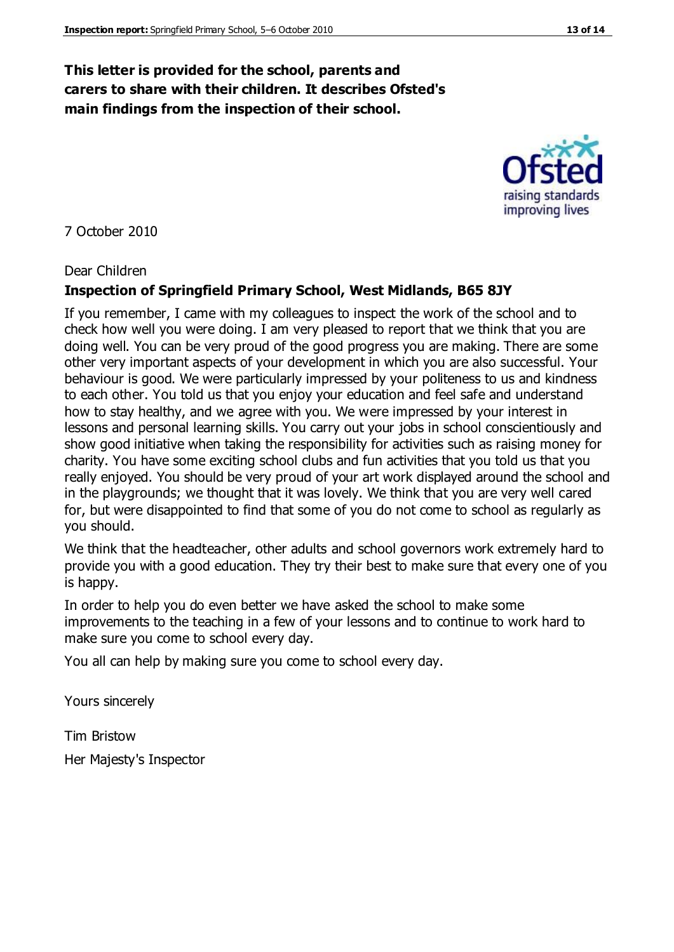#### **This letter is provided for the school, parents and carers to share with their children. It describes Ofsted's main findings from the inspection of their school.**

#### 7 October 2010

#### Dear Children

#### **Inspection of Springfield Primary School, West Midlands, B65 8JY**

If you remember, I came with my colleagues to inspect the work of the school and to check how well you were doing. I am very pleased to report that we think that you are doing well. You can be very proud of the good progress you are making. There are some other very important aspects of your development in which you are also successful. Your behaviour is good. We were particularly impressed by your politeness to us and kindness to each other. You told us that you enjoy your education and feel safe and understand how to stay healthy, and we agree with you. We were impressed by your interest in lessons and personal learning skills. You carry out your jobs in school conscientiously and show good initiative when taking the responsibility for activities such as raising money for charity. You have some exciting school clubs and fun activities that you told us that you really enjoyed. You should be very proud of your art work displayed around the school and in the playgrounds; we thought that it was lovely. We think that you are very well cared for, but were disappointed to find that some of you do not come to school as regularly as you should.

We think that the headteacher, other adults and school governors work extremely hard to provide you with a good education. They try their best to make sure that every one of you is happy.

In order to help you do even better we have asked the school to make some improvements to the teaching in a few of your lessons and to continue to work hard to make sure you come to school every day.

You all can help by making sure you come to school every day.

Yours sincerely

Tim Bristow Her Majesty's Inspector